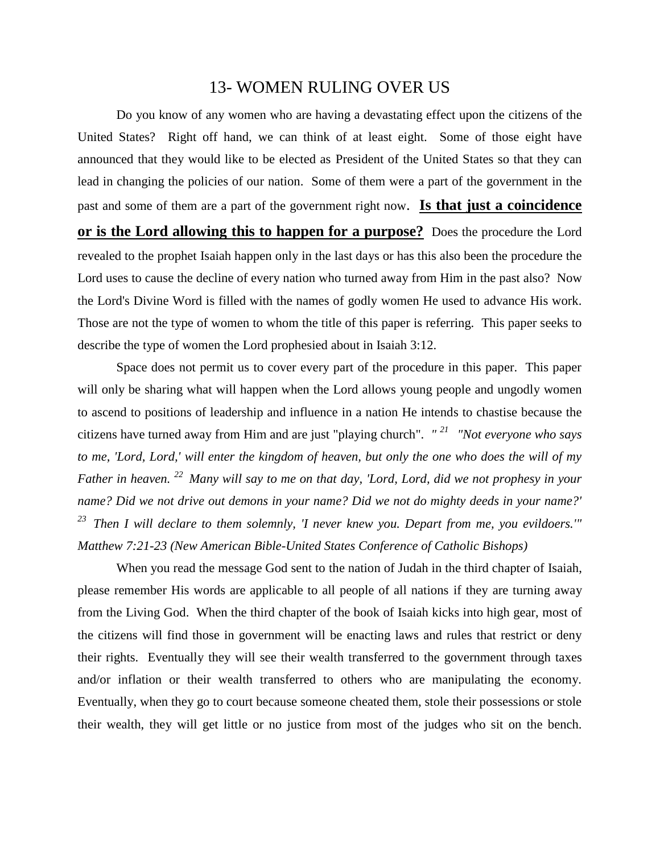## 13- WOMEN RULING OVER US

Do you know of any women who are having a devastating effect upon the citizens of the United States? Right off hand, we can think of at least eight. Some of those eight have announced that they would like to be elected as President of the United States so that they can lead in changing the policies of our nation. Some of them were a part of the government in the past and some of them are a part of the government right now. **Is that just a coincidence or is the Lord allowing this to happen for a purpose?** Does the procedure the Lord revealed to the prophet Isaiah happen only in the last days or has this also been the procedure the Lord uses to cause the decline of every nation who turned away from Him in the past also? Now the Lord's Divine Word is filled with the names of godly women He used to advance His work. Those are not the type of women to whom the title of this paper is referring. This paper seeks to describe the type of women the Lord prophesied about in Isaiah 3:12.

Space does not permit us to cover every part of the procedure in this paper. This paper will only be sharing what will happen when the Lord allows young people and ungodly women to ascend to positions of leadership and influence in a nation He intends to chastise because the citizens have turned away from Him and are just "playing church". *" <sup>21</sup>"Not everyone who says to me, 'Lord, Lord,' will enter the kingdom of heaven, but only the one who does the will of my Father in heaven. <sup>22</sup>Many will say to me on that day, 'Lord, Lord, did we not prophesy in your name? Did we not drive out demons in your name? Did we not do mighty deeds in your name?' <sup>23</sup>Then I will declare to them solemnly, 'I never knew you. Depart from me, you evildoers.'" Matthew 7:21-23 (New American Bible-United States Conference of Catholic Bishops)*

When you read the message God sent to the nation of Judah in the third chapter of Isaiah, please remember His words are applicable to all people of all nations if they are turning away from the Living God. When the third chapter of the book of Isaiah kicks into high gear, most of the citizens will find those in government will be enacting laws and rules that restrict or deny their rights. Eventually they will see their wealth transferred to the government through taxes and/or inflation or their wealth transferred to others who are manipulating the economy. Eventually, when they go to court because someone cheated them, stole their possessions or stole their wealth, they will get little or no justice from most of the judges who sit on the bench.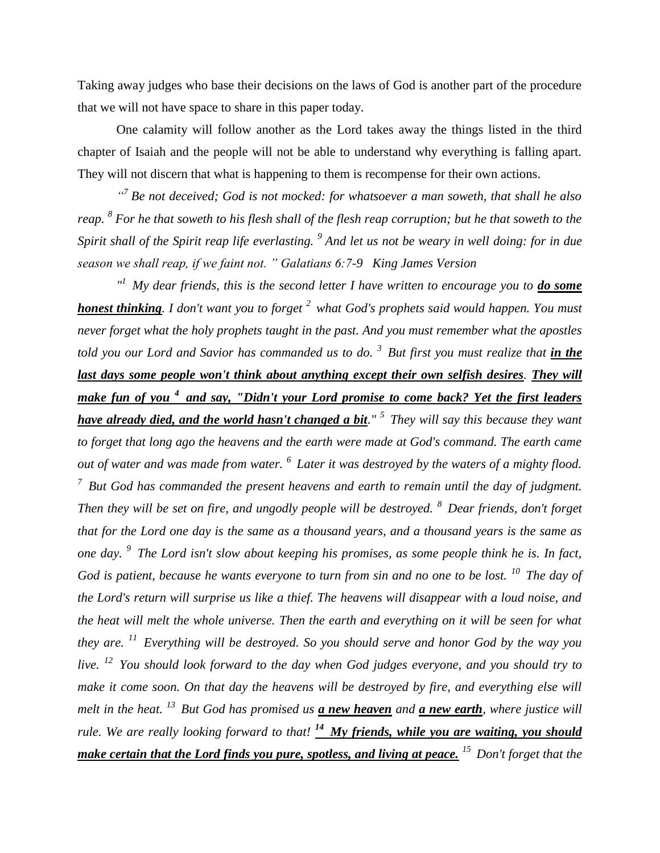Taking away judges who base their decisions on the laws of God is another part of the procedure that we will not have space to share in this paper today.

One calamity will follow another as the Lord takes away the things listed in the third chapter of Isaiah and the people will not be able to understand why everything is falling apart. They will not discern that what is happening to them is recompense for their own actions.

<sup>"</sup> Be not deceived; God is not mocked: for whatsoever a man soweth, that shall he also *reap. 8 For he that soweth to his flesh shall of the flesh reap corruption; but he that soweth to the Spirit shall of the Spirit reap life everlasting. <sup>9</sup> And let us not be weary in well doing: for in due season we shall reap, if we faint not. " Galatians 6:7-9 King James Version*

<sup>*n*</sup> *My dear friends, this is the second letter I have written to encourage you to <i>do some honest thinking. I don't want you to forget <sup>2</sup>what God's prophets said would happen. You must never forget what the holy prophets taught in the past. And you must remember what the apostles told you our Lord and Savior has commanded us to do. <sup>3</sup>But first you must realize that in the last days some people won't think about anything except their own selfish desires. They will make fun of you <sup>4</sup>and say, "Didn't your Lord promise to come back? Yet the first leaders have already died, and the world hasn't changed a bit." <sup>5</sup>They will say this because they want to forget that long ago the heavens and the earth were made at God's command. The earth came out of water and was made from water. <sup>6</sup>Later it was destroyed by the waters of a mighty flood. <sup>7</sup>But God has commanded the present heavens and earth to remain until the day of judgment. Then they will be set on fire, and ungodly people will be destroyed. <sup>8</sup>Dear friends, don't forget that for the Lord one day is the same as a thousand years, and a thousand years is the same as one day. <sup>9</sup>The Lord isn't slow about keeping his promises, as some people think he is. In fact, God is patient, because he wants everyone to turn from sin and no one to be lost. <sup>10</sup>The day of the Lord's return will surprise us like a thief. The heavens will disappear with a loud noise, and the heat will melt the whole universe. Then the earth and everything on it will be seen for what they are. <sup>11</sup>Everything will be destroyed. So you should serve and honor God by the way you live. <sup>12</sup>You should look forward to the day when God judges everyone, and you should try to make it come soon. On that day the heavens will be destroyed by fire, and everything else will melt in the heat. <sup>13</sup>But God has promised us a new heaven and a new earth, where justice will rule. We are really looking forward to that! <sup>14</sup>My friends, while you are waiting, you should make certain that the Lord finds you pure, spotless, and living at peace. <sup>15</sup>Don't forget that the*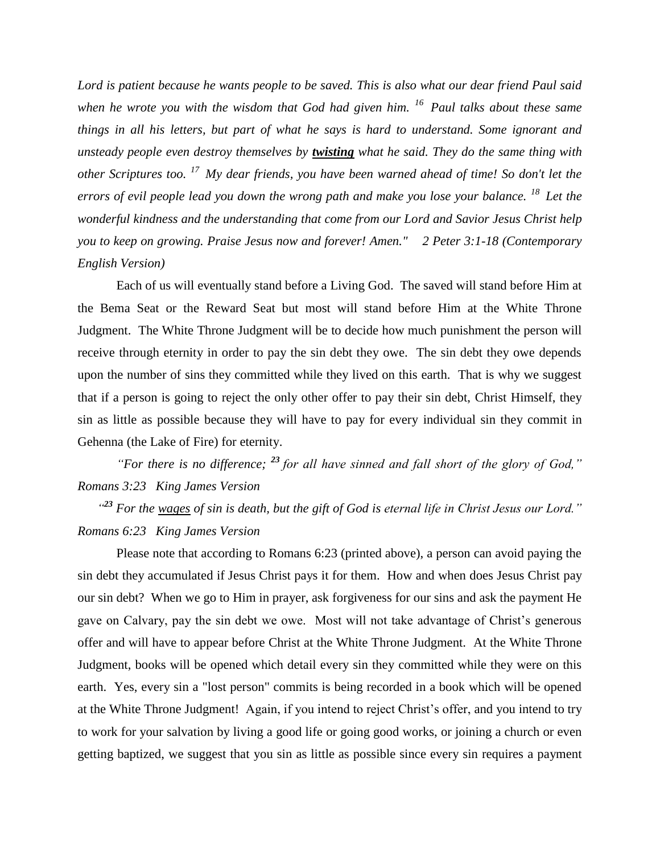*Lord is patient because he wants people to be saved. This is also what our dear friend Paul said when he wrote you with the wisdom that God had given him. <sup>16</sup>Paul talks about these same things in all his letters, but part of what he says is hard to understand. Some ignorant and unsteady people even destroy themselves by twisting what he said. They do the same thing with other Scriptures too. <sup>17</sup>My dear friends, you have been warned ahead of time! So don't let the errors of evil people lead you down the wrong path and make you lose your balance. <sup>18</sup>Let the wonderful kindness and the understanding that come from our Lord and Savior Jesus Christ help you to keep on growing. Praise Jesus now and forever! Amen." 2 Peter 3:1-18 (Contemporary English Version)*

Each of us will eventually stand before a Living God. The saved will stand before Him at the Bema Seat or the Reward Seat but most will stand before Him at the White Throne Judgment. The White Throne Judgment will be to decide how much punishment the person will receive through eternity in order to pay the sin debt they owe. The sin debt they owe depends upon the number of sins they committed while they lived on this earth. That is why we suggest that if a person is going to reject the only other offer to pay their sin debt, Christ Himself, they sin as little as possible because they will have to pay for every individual sin they commit in Gehenna (the Lake of Fire) for eternity.

*"For there is no difference; <sup>23</sup> for all have sinned and fall short of the glory of God," Romans 3:23 King James Version*

*" <sup>23</sup> For the wages of sin is death, but the gift of God is eternal life in Christ Jesus our Lord." Romans 6:23 King James Version* 

Please note that according to Romans 6:23 (printed above), a person can avoid paying the sin debt they accumulated if Jesus Christ pays it for them. How and when does Jesus Christ pay our sin debt? When we go to Him in prayer, ask forgiveness for our sins and ask the payment He gave on Calvary, pay the sin debt we owe. Most will not take advantage of Christ's generous offer and will have to appear before Christ at the White Throne Judgment. At the White Throne Judgment, books will be opened which detail every sin they committed while they were on this earth. Yes, every sin a "lost person" commits is being recorded in a book which will be opened at the White Throne Judgment! Again, if you intend to reject Christ's offer, and you intend to try to work for your salvation by living a good life or going good works, or joining a church or even getting baptized, we suggest that you sin as little as possible since every sin requires a payment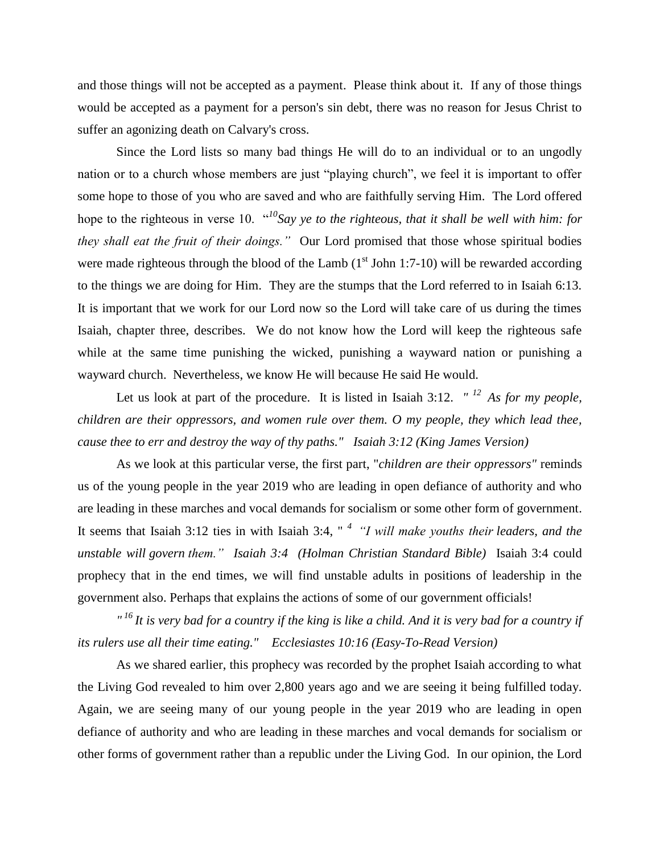and those things will not be accepted as a payment. Please think about it. If any of those things would be accepted as a payment for a person's sin debt, there was no reason for Jesus Christ to suffer an agonizing death on Calvary's cross.

Since the Lord lists so many bad things He will do to an individual or to an ungodly nation or to a church whose members are just "playing church", we feel it is important to offer some hope to those of you who are saved and who are faithfully serving Him. The Lord offered hope to the righteous in verse 10. "*<sup>10</sup>Say ye to the righteous, that it shall be well with him: for they shall eat the fruit of their doings."* Our Lord promised that those whose spiritual bodies were made righteous through the blood of the Lamb  $(1<sup>st</sup>$  John 1:7-10) will be rewarded according to the things we are doing for Him. They are the stumps that the Lord referred to in Isaiah 6:13. It is important that we work for our Lord now so the Lord will take care of us during the times Isaiah, chapter three, describes. We do not know how the Lord will keep the righteous safe while at the same time punishing the wicked, punishing a wayward nation or punishing a wayward church. Nevertheless, we know He will because He said He would.

Let us look at part of the procedure. It is listed in Isaiah 3:12.  $\frac{d}{dx}$  *As for my people, children are their oppressors, and women rule over them. O my people, they which lead thee, cause thee to err and destroy the way of thy paths." Isaiah 3:12 (King James Version)* 

As we look at this particular verse, the first part, "*children are their oppressors"* reminds us of the young people in the year 2019 who are leading in open defiance of authority and who are leading in these marches and vocal demands for socialism or some other form of government. It seems that Isaiah 3:12 ties in with Isaiah 3:4, " *<sup>4</sup>"I will make youths their leaders, and the unstable will govern them." Isaiah 3:4 (Holman Christian Standard Bible)* Isaiah 3:4 could prophecy that in the end times, we will find unstable adults in positions of leadership in the government also. Perhaps that explains the actions of some of our government officials!

*" <sup>16</sup>It is very bad for a country if the king is like a child. And it is very bad for a country if its rulers use all their time eating." Ecclesiastes 10:16 (Easy-To-Read Version)*

As we shared earlier, this prophecy was recorded by the prophet Isaiah according to what the Living God revealed to him over 2,800 years ago and we are seeing it being fulfilled today. Again, we are seeing many of our young people in the year 2019 who are leading in open defiance of authority and who are leading in these marches and vocal demands for socialism or other forms of government rather than a republic under the Living God. In our opinion, the Lord